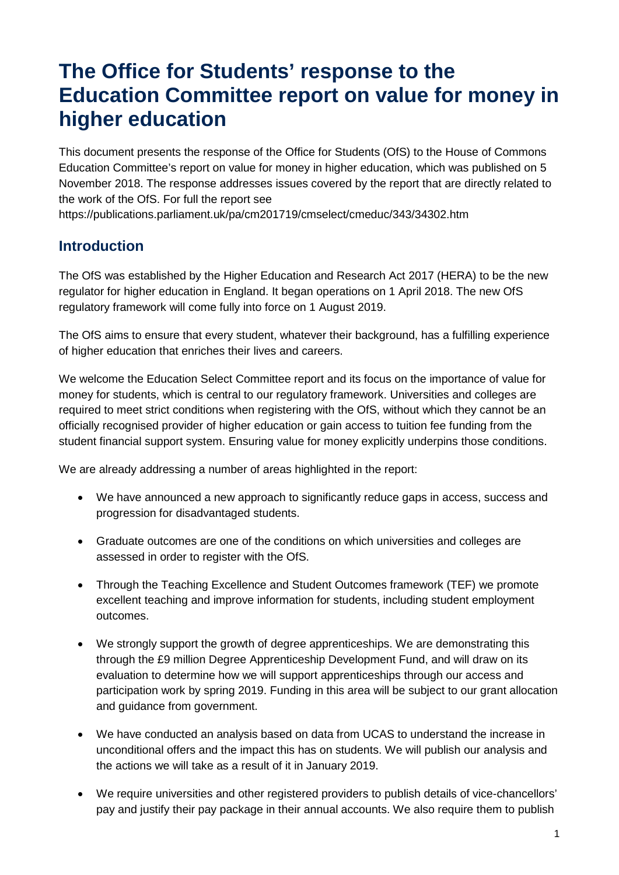# **The Office for Students' response to the Education Committee report on value for money in higher education**

This document presents the response of the Office for Students (OfS) to the House of Commons Education Committee's report on value for money in higher education, which was published on 5 November 2018. The response addresses issues covered by the report that are directly related to the work of the OfS. For full the report see

<https://publications.parliament.uk/pa/cm201719/cmselect/cmeduc/343/34302.htm>

### **Introduction**

The OfS was established by the Higher Education and Research Act 2017 (HERA) to be the new regulator for higher education in England. It began operations on 1 April 2018. The new OfS regulatory framework will come fully into force on 1 August 2019.

The OfS aims to ensure that every student, whatever their background, has a fulfilling experience of higher education that enriches their lives and careers.

We welcome the Education Select Committee report and its focus on the importance of value for money for students, which is central to our regulatory framework. Universities and colleges are required to meet strict conditions when registering with the OfS, without which they cannot be an officially recognised provider of higher education or gain access to tuition fee funding from the student financial support system. Ensuring value for money explicitly underpins those conditions.

We are already addressing a number of areas highlighted in the report:

- We have announced a new approach to significantly reduce gaps in access, success and progression for disadvantaged students.
- Graduate outcomes are one of the conditions on which universities and colleges are assessed in order to register with the OfS.
- Through the Teaching Excellence and Student Outcomes framework (TEF) we promote excellent teaching and improve information for students, including student employment outcomes.
- We strongly support the growth of degree apprenticeships. We are demonstrating this through the £9 million Degree Apprenticeship Development Fund, and will draw on its evaluation to determine how we will support apprenticeships through our access and participation work by spring 2019. Funding in this area will be subject to our grant allocation and guidance from government.
- We have conducted an analysis based on data from UCAS to understand the increase in unconditional offers and the impact this has on students. We will publish our analysis and the actions we will take as a result of it in January 2019.
- We require universities and other registered providers to publish details of vice-chancellors' pay and justify their pay package in their annual accounts. We also require them to publish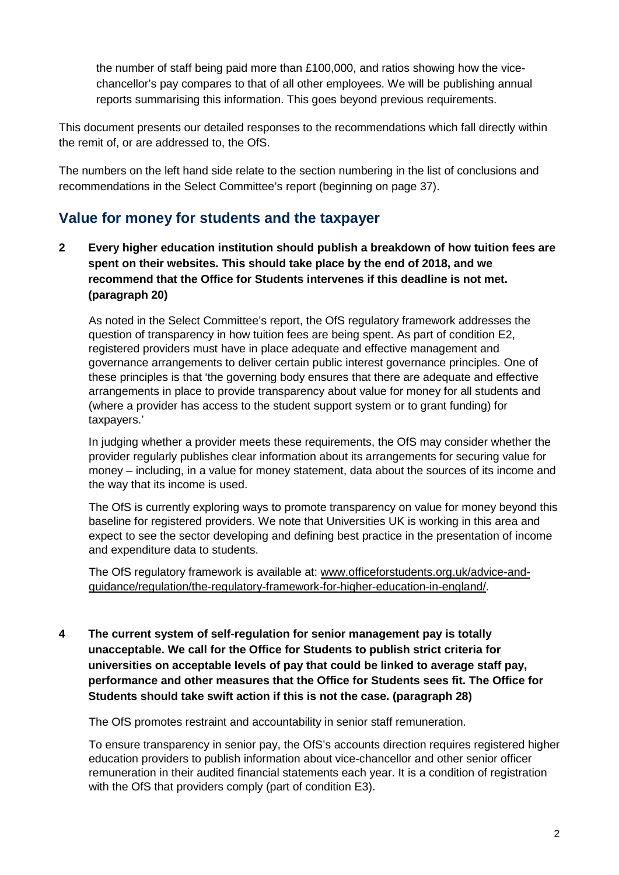the number of staff being paid more than £100,000, and ratios showing how the vicechancellor's pay compares to that of all other employees. We will be publishing annual reports summarising this information. This goes beyond previous requirements.

This document presents our detailed responses to the recommendations which fall directly within the remit of, or are addressed to, the OfS.

The numbers on the left hand side relate to the section numbering in the list of conclusions and recommendations in the Select Committee's report (beginning on page 37).

## **Value for money for students and the taxpayer**

**2 Every higher education institution should publish a breakdown of how tuition fees are spent on their websites. This should take place by the end of 2018, and we recommend that the Office for Students intervenes if this deadline is not met. (paragraph 20)**

As noted in the Select Committee's report, the OfS regulatory framework addresses the question of transparency in how tuition fees are being spent. As part of condition E2, registered providers must have in place adequate and effective management and governance arrangements to deliver certain public interest governance principles. One of these principles is that 'the governing body ensures that there are adequate and effective arrangements in place to provide transparency about value for money for all students and (where a provider has access to the student support system or to grant funding) for taxpayers.'

In judging whether a provider meets these requirements, the OfS may consider whether the provider regularly publishes clear information about its arrangements for securing value for money – including, in a value for money statement, data about the sources of its income and the way that its income is used.

The OfS is currently exploring ways to promote transparency on value for money beyond this baseline for registered providers. We note that Universities UK is working in this area and expect to see the sector developing and defining best practice in the presentation of income and expenditure data to students.

The OfS regulatory framework is available at: [www.officeforstudents.org.uk/advice-and](https://www.officeforstudents.org.uk/advice-and-guidance/regulation/the-regulatory-framework-for-higher-education-in-england/)[guidance/regulation/the-regulatory-framework-for-higher-education-in-england/.](https://www.officeforstudents.org.uk/advice-and-guidance/regulation/the-regulatory-framework-for-higher-education-in-england/)

**4 The current system of self-regulation for senior management pay is totally unacceptable. We call for the Office for Students to publish strict criteria for universities on acceptable levels of pay that could be linked to average staff pay, performance and other measures that the Office for Students sees fit. The Office for Students should take swift action if this is not the case. (paragraph 28)**

The OfS promotes restraint and accountability in senior staff remuneration.

To ensure transparency in senior pay, the OfS's accounts direction requires registered higher education providers to publish information about vice-chancellor and other senior officer remuneration in their audited financial statements each year. It is a condition of registration with the OfS that providers comply (part of condition E3).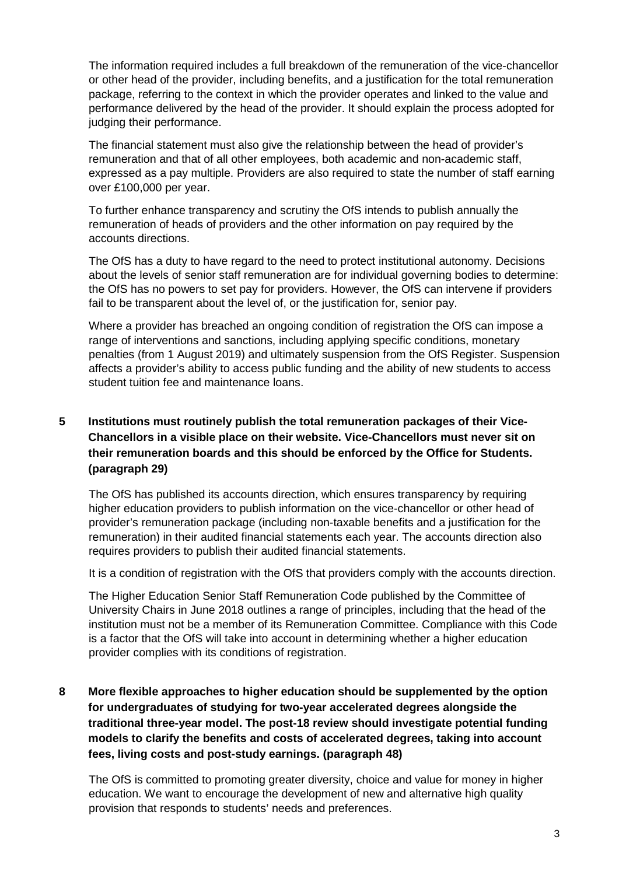The information required includes a full breakdown of the remuneration of the vice-chancellor or other head of the provider, including benefits, and a justification for the total remuneration package, referring to the context in which the provider operates and linked to the value and performance delivered by the head of the provider. It should explain the process adopted for judging their performance.

The financial statement must also give the relationship between the head of provider's remuneration and that of all other employees, both academic and non-academic staff, expressed as a pay multiple. Providers are also required to state the number of staff earning over £100,000 per year.

To further enhance transparency and scrutiny the OfS intends to publish annually the remuneration of heads of providers and the other information on pay required by the accounts directions.

The OfS has a duty to have regard to the need to protect institutional autonomy. Decisions about the levels of senior staff remuneration are for individual governing bodies to determine: the OfS has no powers to set pay for providers. However, the OfS can intervene if providers fail to be transparent about the level of, or the justification for, senior pay.

Where a provider has breached an ongoing condition of registration the OfS can impose a range of interventions and sanctions, including applying specific conditions, monetary penalties (from 1 August 2019) and ultimately suspension from the OfS Register. Suspension affects a provider's ability to access public funding and the ability of new students to access student tuition fee and maintenance loans.

#### **5 Institutions must routinely publish the total remuneration packages of their Vice-Chancellors in a visible place on their website. Vice-Chancellors must never sit on their remuneration boards and this should be enforced by the Office for Students. (paragraph 29)**

The OfS has published its accounts direction, which ensures transparency by requiring higher education providers to publish information on the vice-chancellor or other head of provider's remuneration package (including non-taxable benefits and a justification for the remuneration) in their audited financial statements each year. The accounts direction also requires providers to publish their audited financial statements.

It is a condition of registration with the OfS that providers comply with the accounts direction.

The Higher Education Senior Staff Remuneration Code published by the Committee of University Chairs in June 2018 outlines a range of principles, including that the head of the institution must not be a member of its Remuneration Committee. Compliance with this Code is a factor that the OfS will take into account in determining whether a higher education provider complies with its conditions of registration.

#### **8 More flexible approaches to higher education should be supplemented by the option for undergraduates of studying for two-year accelerated degrees alongside the traditional three-year model. The post-18 review should investigate potential funding models to clarify the benefits and costs of accelerated degrees, taking into account fees, living costs and post-study earnings. (paragraph 48)**

The OfS is committed to promoting greater diversity, choice and value for money in higher education. We want to encourage the development of new and alternative high quality provision that responds to students' needs and preferences.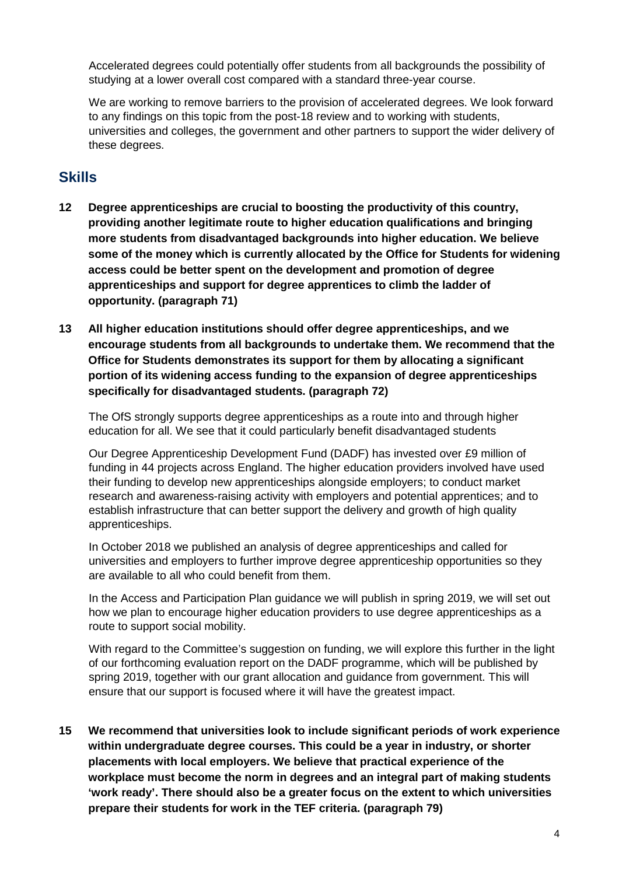Accelerated degrees could potentially offer students from all backgrounds the possibility of studying at a lower overall cost compared with a standard three-year course.

We are working to remove barriers to the provision of accelerated degrees. We look forward to any findings on this topic from the post-18 review and to working with students, universities and colleges, the government and other partners to support the wider delivery of these degrees.

## **Skills**

- **12 Degree apprenticeships are crucial to boosting the productivity of this country, providing another legitimate route to higher education qualifications and bringing more students from disadvantaged backgrounds into higher education. We believe some of the money which is currently allocated by the Office for Students for widening access could be better spent on the development and promotion of degree apprenticeships and support for degree apprentices to climb the ladder of opportunity. (paragraph 71)**
- **13 All higher education institutions should offer degree apprenticeships, and we encourage students from all backgrounds to undertake them. We recommend that the Office for Students demonstrates its support for them by allocating a significant portion of its widening access funding to the expansion of degree apprenticeships specifically for disadvantaged students. (paragraph 72)**

The OfS strongly supports degree apprenticeships as a route into and through higher education for all. We see that it could particularly benefit disadvantaged students

Our Degree Apprenticeship Development Fund (DADF) has invested over £9 million of funding in 44 projects across England. The higher education providers involved have used their funding to develop new apprenticeships alongside employers; to conduct market research and awareness-raising activity with employers and potential apprentices; and to establish infrastructure that can better support the delivery and growth of high quality apprenticeships.

In October 2018 we published an analysis of degree apprenticeships and called for universities and employers to further improve degree apprenticeship opportunities so they are available to all who could benefit from them.

In the Access and Participation Plan guidance we will publish in spring 2019, we will set out how we plan to encourage higher education providers to use degree apprenticeships as a route to support social mobility.

With regard to the Committee's suggestion on funding, we will explore this further in the light of our forthcoming evaluation report on the DADF programme, which will be published by spring 2019, together with our grant allocation and guidance from government. This will ensure that our support is focused where it will have the greatest impact.

**15 We recommend that universities look to include significant periods of work experience within undergraduate degree courses. This could be a year in industry, or shorter placements with local employers. We believe that practical experience of the workplace must become the norm in degrees and an integral part of making students 'work ready'. There should also be a greater focus on the extent to which universities prepare their students for work in the TEF criteria. (paragraph 79)**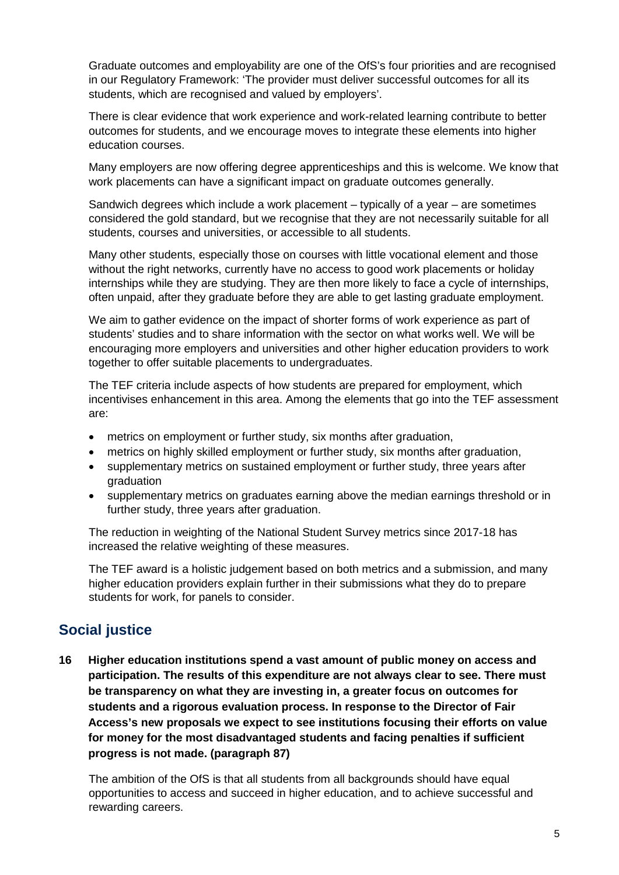Graduate outcomes and employability are one of the OfS's four priorities and are recognised in our Regulatory Framework: 'The provider must deliver successful outcomes for all its students, which are recognised and valued by employers'.

There is clear evidence that work experience and work-related learning contribute to better outcomes for students, and we encourage moves to integrate these elements into higher education courses.

Many employers are now offering degree apprenticeships and this is welcome. We know that work placements can have a significant impact on graduate outcomes generally.

Sandwich degrees which include a work placement – typically of a year – are sometimes considered the gold standard, but we recognise that they are not necessarily suitable for all students, courses and universities, or accessible to all students.

Many other students, especially those on courses with little vocational element and those without the right networks, currently have no access to good work placements or holiday internships while they are studying. They are then more likely to face a cycle of internships, often unpaid, after they graduate before they are able to get lasting graduate employment.

We aim to gather evidence on the impact of shorter forms of work experience as part of students' studies and to share information with the sector on what works well. We will be encouraging more employers and universities and other higher education providers to work together to offer suitable placements to undergraduates.

The TEF criteria include aspects of how students are prepared for employment, which incentivises enhancement in this area. Among the elements that go into the TEF assessment are:

- metrics on employment or further study, six months after graduation,
- metrics on highly skilled employment or further study, six months after graduation,
- supplementary metrics on sustained employment or further study, three years after graduation
- supplementary metrics on graduates earning above the median earnings threshold or in further study, three years after graduation.

The reduction in weighting of the National Student Survey metrics since 2017-18 has increased the relative weighting of these measures.

The TEF award is a holistic judgement based on both metrics and a submission, and many higher education providers explain further in their submissions what they do to prepare students for work, for panels to consider.

## **Social justice**

**16 Higher education institutions spend a vast amount of public money on access and participation. The results of this expenditure are not always clear to see. There must be transparency on what they are investing in, a greater focus on outcomes for students and a rigorous evaluation process. In response to the Director of Fair Access's new proposals we expect to see institutions focusing their efforts on value for money for the most disadvantaged students and facing penalties if sufficient progress is not made. (paragraph 87)**

The ambition of the OfS is that all students from all backgrounds should have equal opportunities to access and succeed in higher education, and to achieve successful and rewarding careers.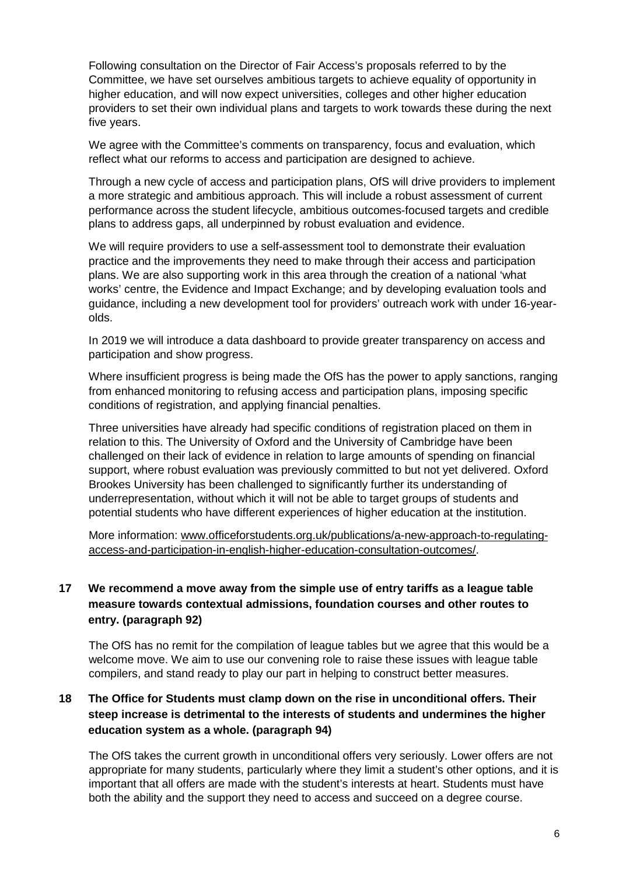Following consultation on the Director of Fair Access's proposals referred to by the Committee, we have set ourselves ambitious targets to achieve equality of opportunity in higher education, and will now expect universities, colleges and other higher education providers to set their own individual plans and targets to work towards these during the next five years.

We agree with the Committee's comments on transparency, focus and evaluation, which reflect what our reforms to access and participation are designed to achieve.

Through a new cycle of access and participation plans, OfS will drive providers to implement a more strategic and ambitious approach. This will include a robust assessment of current performance across the student lifecycle, ambitious outcomes-focused targets and credible plans to address gaps, all underpinned by robust evaluation and evidence.

We will require providers to use a self-assessment tool to demonstrate their evaluation practice and the improvements they need to make through their access and participation plans. We are also supporting work in this area through the creation of a national 'what works' centre, the Evidence and Impact Exchange; and by developing evaluation tools and guidance, including a new development tool for providers' outreach work with under 16-yearolds.

In 2019 we will introduce a data dashboard to provide greater transparency on access and participation and show progress.

Where insufficient progress is being made the OfS has the power to apply sanctions, ranging from enhanced monitoring to refusing access and participation plans, imposing specific conditions of registration, and applying financial penalties.

Three universities have already had specific conditions of registration placed on them in relation to this. The University of Oxford and the University of Cambridge have been challenged on their lack of evidence in relation to large amounts of spending on financial support, where robust evaluation was previously committed to but not yet delivered. Oxford Brookes University has been challenged to significantly further its understanding of underrepresentation, without which it will not be able to target groups of students and potential students who have different experiences of higher education at the institution.

More information: [www.officeforstudents.org.uk/publications/a-new-approach-to-regulating](https://www.officeforstudents.org.uk/publications/a-new-approach-to-regulating-access-and-participation-in-english-higher-education-consultation-outcomes/)[access-and-participation-in-english-higher-education-consultation-outcomes/.](https://www.officeforstudents.org.uk/publications/a-new-approach-to-regulating-access-and-participation-in-english-higher-education-consultation-outcomes/)

#### **17 We recommend a move away from the simple use of entry tariffs as a league table measure towards contextual admissions, foundation courses and other routes to entry. (paragraph 92)**

The OfS has no remit for the compilation of league tables but we agree that this would be a welcome move. We aim to use our convening role to raise these issues with league table compilers, and stand ready to play our part in helping to construct better measures.

#### **18 The Office for Students must clamp down on the rise in unconditional offers. Their steep increase is detrimental to the interests of students and undermines the higher education system as a whole. (paragraph 94)**

The OfS takes the current growth in unconditional offers very seriously. Lower offers are not appropriate for many students, particularly where they limit a student's other options, and it is important that all offers are made with the student's interests at heart. Students must have both the ability and the support they need to access and succeed on a degree course.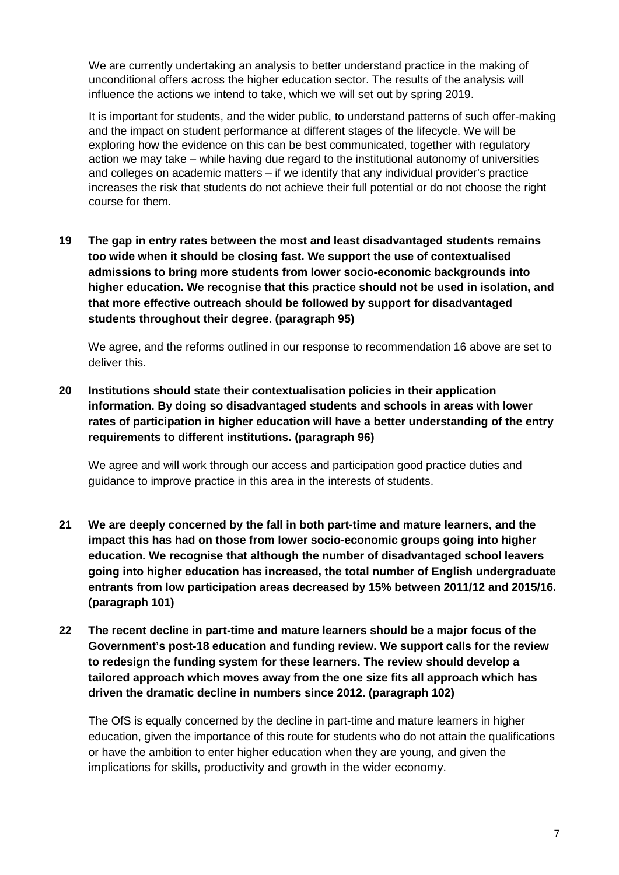We are currently undertaking an analysis to better understand practice in the making of unconditional offers across the higher education sector. The results of the analysis will influence the actions we intend to take, which we will set out by spring 2019.

It is important for students, and the wider public, to understand patterns of such offer-making and the impact on student performance at different stages of the lifecycle. We will be exploring how the evidence on this can be best communicated, together with regulatory action we may take – while having due regard to the institutional autonomy of universities and colleges on academic matters – if we identify that any individual provider's practice increases the risk that students do not achieve their full potential or do not choose the right course for them.

**19 The gap in entry rates between the most and least disadvantaged students remains too wide when it should be closing fast. We support the use of contextualised admissions to bring more students from lower socio-economic backgrounds into higher education. We recognise that this practice should not be used in isolation, and that more effective outreach should be followed by support for disadvantaged students throughout their degree. (paragraph 95)**

We agree, and the reforms outlined in our response to recommendation 16 above are set to deliver this.

**20 Institutions should state their contextualisation policies in their application information. By doing so disadvantaged students and schools in areas with lower rates of participation in higher education will have a better understanding of the entry requirements to different institutions. (paragraph 96)**

We agree and will work through our access and participation good practice duties and guidance to improve practice in this area in the interests of students.

- **21 We are deeply concerned by the fall in both part-time and mature learners, and the impact this has had on those from lower socio-economic groups going into higher education. We recognise that although the number of disadvantaged school leavers going into higher education has increased, the total number of English undergraduate entrants from low participation areas decreased by 15% between 2011/12 and 2015/16. (paragraph 101)**
- **22 The recent decline in part-time and mature learners should be a major focus of the Government's post-18 education and funding review. We support calls for the review to redesign the funding system for these learners. The review should develop a tailored approach which moves away from the one size fits all approach which has driven the dramatic decline in numbers since 2012. (paragraph 102)**

The OfS is equally concerned by the decline in part-time and mature learners in higher education, given the importance of this route for students who do not attain the qualifications or have the ambition to enter higher education when they are young, and given the implications for skills, productivity and growth in the wider economy.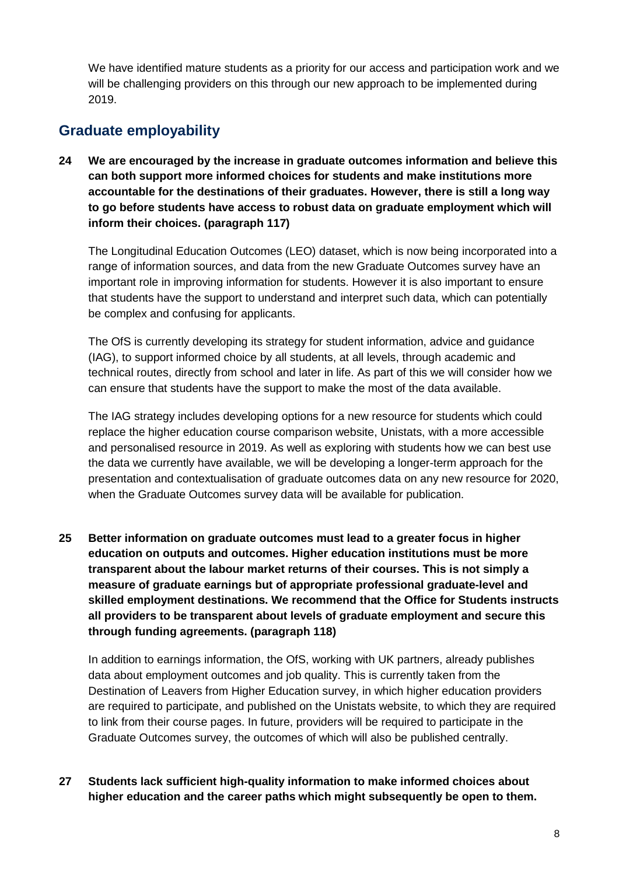We have identified mature students as a priority for our access and participation work and we will be challenging providers on this through our new approach to be implemented during 2019.

## **Graduate employability**

**24 We are encouraged by the increase in graduate outcomes information and believe this can both support more informed choices for students and make institutions more accountable for the destinations of their graduates. However, there is still a long way to go before students have access to robust data on graduate employment which will inform their choices. (paragraph 117)**

The Longitudinal Education Outcomes (LEO) dataset, which is now being incorporated into a range of information sources, and data from the new Graduate Outcomes survey have an important role in improving information for students. However it is also important to ensure that students have the support to understand and interpret such data, which can potentially be complex and confusing for applicants.

The OfS is currently developing its strategy for student information, advice and guidance (IAG), to support informed choice by all students, at all levels, through academic and technical routes, directly from school and later in life. As part of this we will consider how we can ensure that students have the support to make the most of the data available.

The IAG strategy includes developing options for a new resource for students which could replace the higher education course comparison website, Unistats, with a more accessible and personalised resource in 2019. As well as exploring with students how we can best use the data we currently have available, we will be developing a longer-term approach for the presentation and contextualisation of graduate outcomes data on any new resource for 2020, when the Graduate Outcomes survey data will be available for publication.

**25 Better information on graduate outcomes must lead to a greater focus in higher education on outputs and outcomes. Higher education institutions must be more transparent about the labour market returns of their courses. This is not simply a measure of graduate earnings but of appropriate professional graduate-level and skilled employment destinations. We recommend that the Office for Students instructs all providers to be transparent about levels of graduate employment and secure this through funding agreements. (paragraph 118)**

In addition to earnings information, the OfS, working with UK partners, already publishes data about employment outcomes and job quality. This is currently taken from the Destination of Leavers from Higher Education survey, in which higher education providers are required to participate, and published on the Unistats website, to which they are required to link from their course pages. In future, providers will be required to participate in the Graduate Outcomes survey, the outcomes of which will also be published centrally.

**27 Students lack sufficient high-quality information to make informed choices about higher education and the career paths which might subsequently be open to them.**